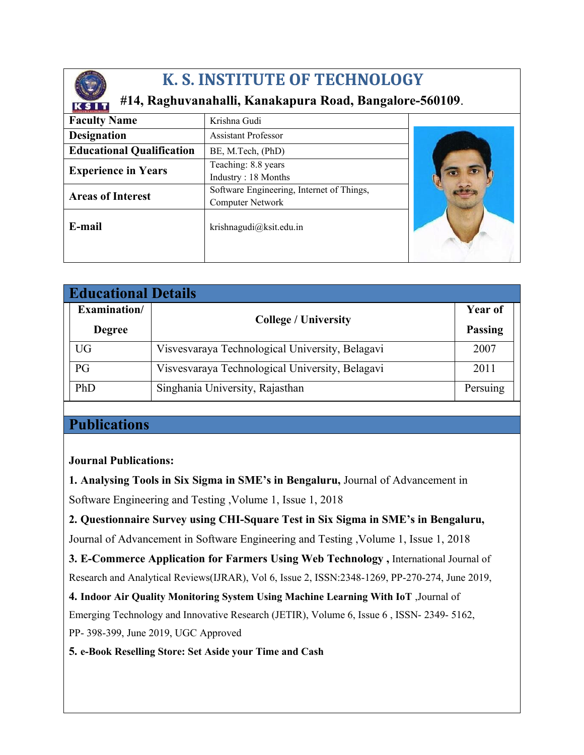

## **K. S. INSTITUTE OF TECHNOLOGY**

## **#14, Raghuvanahalli, Kanakapura Road, Bangalore-560109**.

| <b>Faculty Name</b>              | Krishna Gudi                              |  |
|----------------------------------|-------------------------------------------|--|
| <b>Designation</b>               | <b>Assistant Professor</b>                |  |
| <b>Educational Qualification</b> | BE, M.Tech, (PhD)                         |  |
| <b>Experience in Years</b>       | Teaching: 8.8 years                       |  |
|                                  | Industry: 18 Months                       |  |
| <b>Areas of Interest</b>         | Software Engineering, Internet of Things, |  |
|                                  | Computer Network                          |  |
| E-mail                           | krishnagudi@ksit.edu.in                   |  |
|                                  |                                           |  |

| <b>Educational Details</b> |               |                                                 |                |  |
|----------------------------|---------------|-------------------------------------------------|----------------|--|
|                            | Examination/  | <b>College / University</b>                     | <b>Year of</b> |  |
|                            | <b>Degree</b> |                                                 | <b>Passing</b> |  |
|                            | <b>UG</b>     | Visvesvaraya Technological University, Belagavi | 2007           |  |
|                            | PG            | Visvesvaraya Technological University, Belagavi | 2011           |  |
|                            | PhD           | Singhania University, Rajasthan                 | Persuing       |  |

## **Publications**

## **Journal Publications:**

**1. Analysing Tools in Six Sigma in SME's in Bengaluru,** Journal of Advancement in Software Engineering and Testing ,Volume 1, Issue 1, 2018

**2. Questionnaire Survey using CHI-Square Test in Six Sigma in SME's in Bengaluru,**  Journal of Advancement in Software Engineering and Testing ,Volume 1, Issue 1, 2018

**3. E-Commerce Application for Farmers Using Web Technology ,** International Journal of Research and Analytical Reviews(IJRAR), Vol 6, Issue 2, ISSN:2348-1269, PP-270-274, June 2019,

**4. Indoor Air Quality Monitoring System Using Machine Learning With IoT** ,Journal of Emerging Technology and Innovative Research (JETIR), Volume 6, Issue 6 , ISSN- 2349- 5162, PP- 398-399, June 2019, UGC Approved

**5. e-Book Reselling Store: Set Aside your Time and Cash**